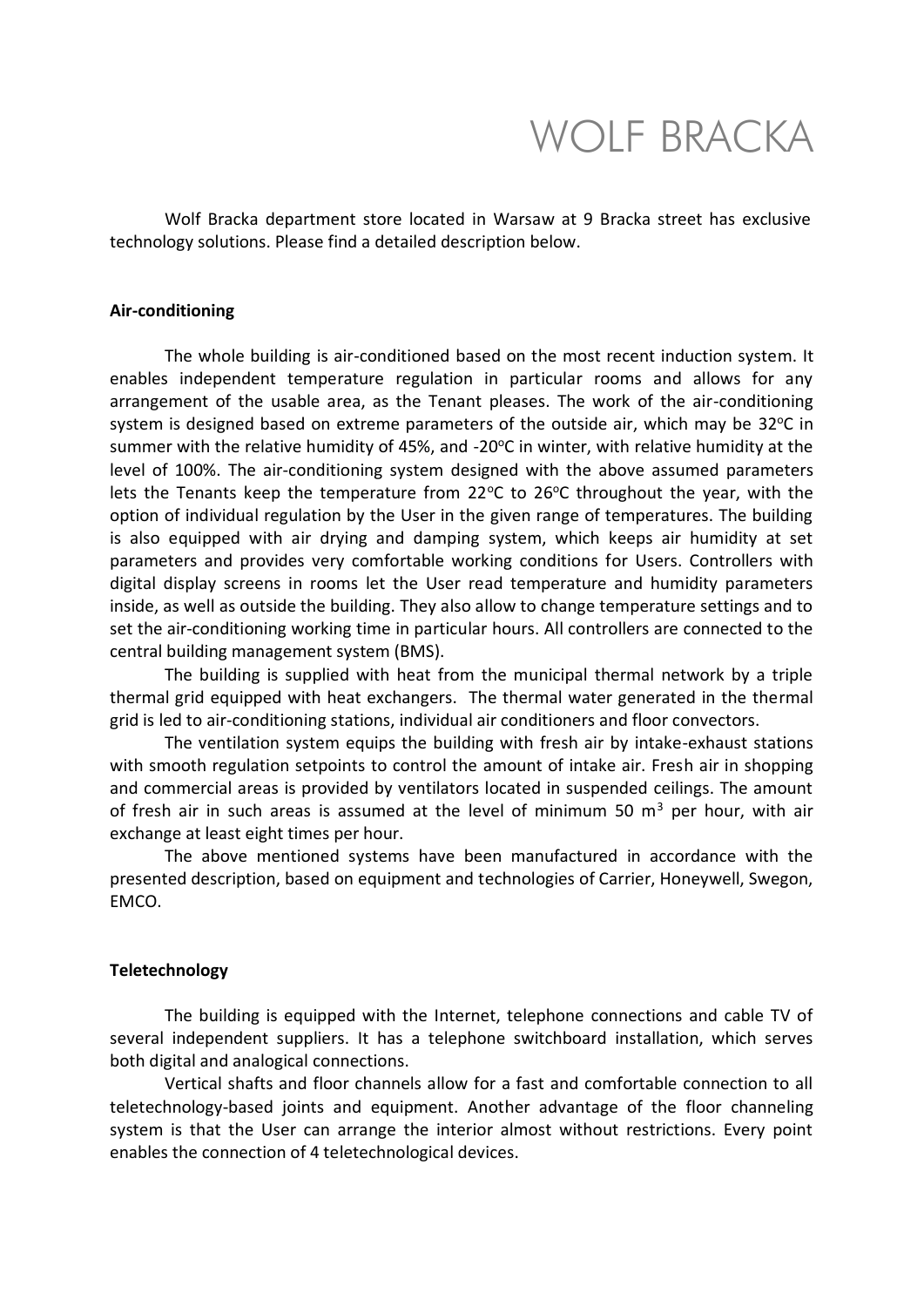# WOLF BRACKA

Wolf Bracka department store located in Warsaw at 9 Bracka street has exclusive technology solutions. Please find a detailed description below.

### **Air-conditioning**

The whole building is air-conditioned based on the most recent induction system. It enables independent temperature regulation in particular rooms and allows for any arrangement of the usable area, as the Tenant pleases. The work of the air-conditioning system is designed based on extreme parameters of the outside air, which may be  $32^{\circ}$ C in summer with the relative humidity of 45%, and -20 $\degree$ C in winter, with relative humidity at the level of 100%. The air-conditioning system designed with the above assumed parameters lets the Tenants keep the temperature from  $22^{\circ}$ C to  $26^{\circ}$ C throughout the year, with the option of individual regulation by the User in the given range of temperatures. The building is also equipped with air drying and damping system, which keeps air humidity at set parameters and provides very comfortable working conditions for Users. Controllers with digital display screens in rooms let the User read temperature and humidity parameters inside, as well as outside the building. They also allow to change temperature settings and to set the air-conditioning working time in particular hours. All controllers are connected to the central building management system (BMS).

The building is supplied with heat from the municipal thermal network by a triple thermal grid equipped with heat exchangers. The thermal water generated in the thermal grid is led to air-conditioning stations, individual air conditioners and floor convectors.

The ventilation system equips the building with fresh air by intake-exhaust stations with smooth regulation setpoints to control the amount of intake air. Fresh air in shopping and commercial areas is provided by ventilators located in suspended ceilings. The amount of fresh air in such areas is assumed at the level of minimum 50  $m<sup>3</sup>$  per hour, with air exchange at least eight times per hour.

The above mentioned systems have been manufactured in accordance with the presented description, based on equipment and technologies of Carrier, Honeywell, Swegon, EMCO.

### **Teletechnology**

The building is equipped with the Internet, telephone connections and cable TV of several independent suppliers. It has a telephone switchboard installation, which serves both digital and analogical connections.

Vertical shafts and floor channels allow for a fast and comfortable connection to all teletechnology-based joints and equipment. Another advantage of the floor channeling system is that the User can arrange the interior almost without restrictions. Every point enables the connection of 4 teletechnological devices.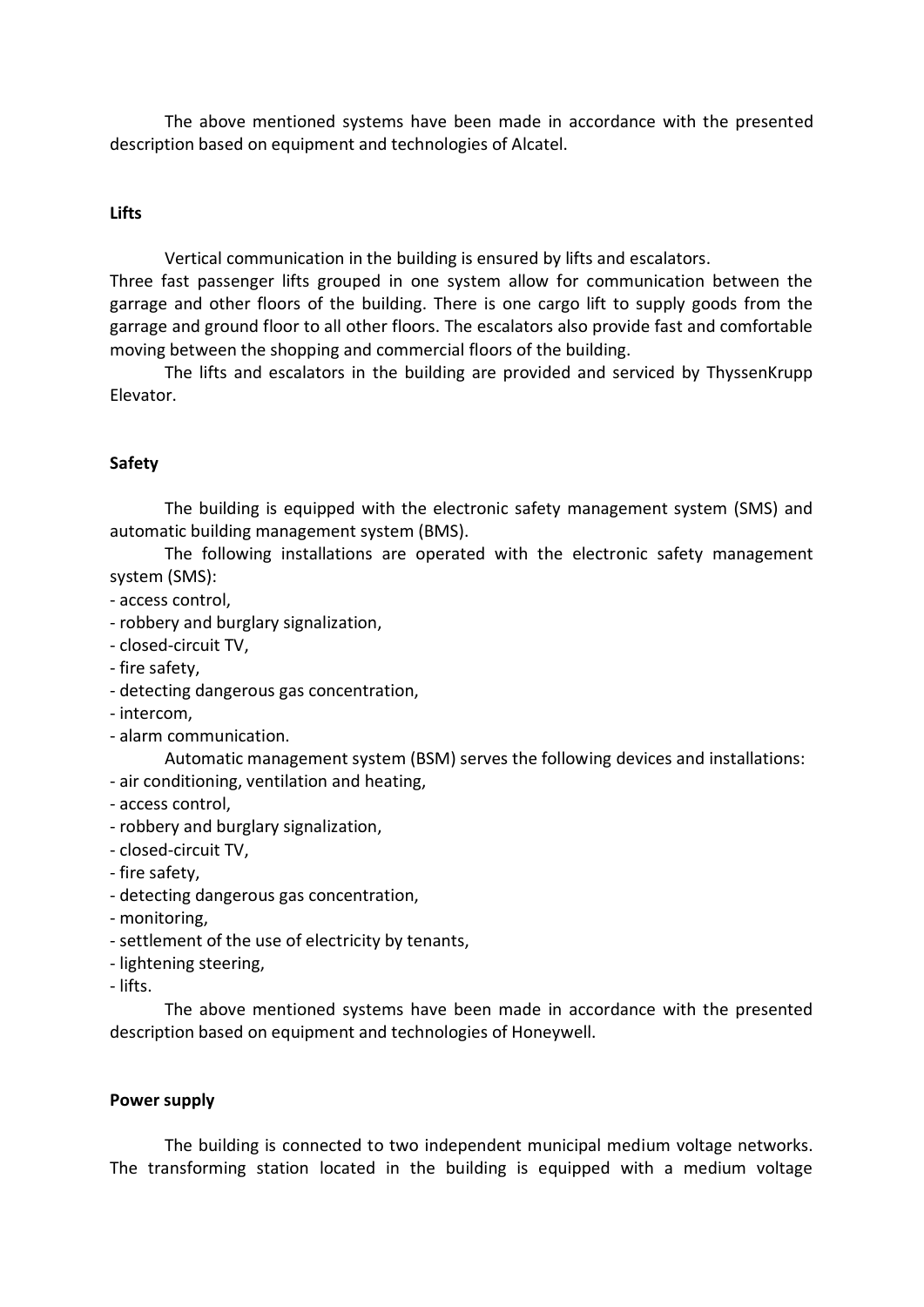The above mentioned systems have been made in accordance with the presented description based on equipment and technologies of Alcatel.

## **Lifts**

Vertical communication in the building is ensured by lifts and escalators.

Three fast passenger lifts grouped in one system allow for communication between the garrage and other floors of the building. There is one cargo lift to supply goods from the garrage and ground floor to all other floors. The escalators also provide fast and comfortable moving between the shopping and commercial floors of the building.

The lifts and escalators in the building are provided and serviced by ThyssenKrupp Elevator.

## **Safety**

The building is equipped with the electronic safety management system (SMS) and automatic building management system (BMS).

The following installations are operated with the electronic safety management system (SMS):

- access control,

- robbery and burglary signalization,
- closed-circuit TV,
- fire safety,
- detecting dangerous gas concentration,
- intercom,
- alarm communication.
	- Automatic management system (BSM) serves the following devices and installations:
- air conditioning, ventilation and heating,
- access control,
- robbery and burglary signalization,
- closed-circuit TV,
- fire safety,
- detecting dangerous gas concentration,
- monitoring,
- settlement of the use of electricity by tenants,
- lightening steering,
- lifts.

The above mentioned systems have been made in accordance with the presented description based on equipment and technologies of Honeywell.

## **Power supply**

The building is connected to two independent municipal medium voltage networks. The transforming station located in the building is equipped with a medium voltage